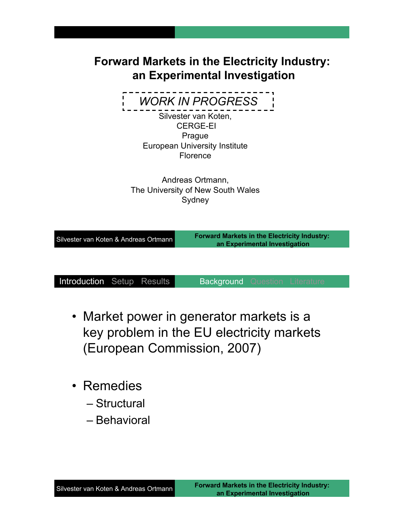## **Forward Markets in the Electricity Industry: an Experimental Investigation**

*WORK IN PROGRESS*

Silvester van Koten, CERGE-EI Prague European University Institute Florence

Andreas Ortmann, The University of New South Wales **Sydney** 

| Silvester van Koten & Andreas Ortmann | <b>Forward Markets in the Electricity Industry:</b><br>an Experimental Investigation |
|---------------------------------------|--------------------------------------------------------------------------------------|
|                                       |                                                                                      |

- Market power in generator markets is a key problem in the EU electricity markets (European Commission, 2007)
- Remedies
	- Structural
	- Behavioral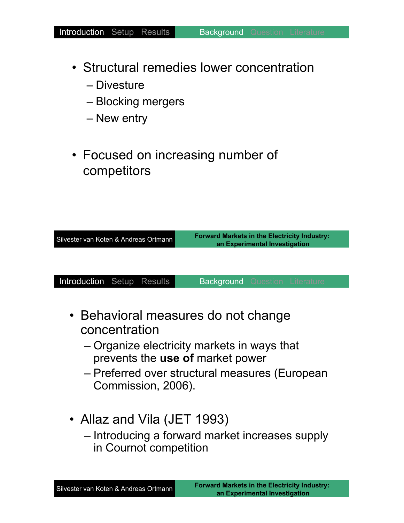- Structural remedies lower concentration
	- Divesture
	- Blocking mergers
	- New entry
- Focused on increasing number of competitors

| Silvester van Koten & Andreas Ortmann | <b>Forward Markets in the Electricity Industry:</b><br>an Experimental Investigation |
|---------------------------------------|--------------------------------------------------------------------------------------|
|                                       |                                                                                      |

- Behavioral measures do not change concentration
	- Organize electricity markets in ways that prevents the **use of** market power
	- Preferred over structural measures (European Commission, 2006).
- Allaz and Vila (JET 1993) – Introducing a forward market increases supply in Cournot competition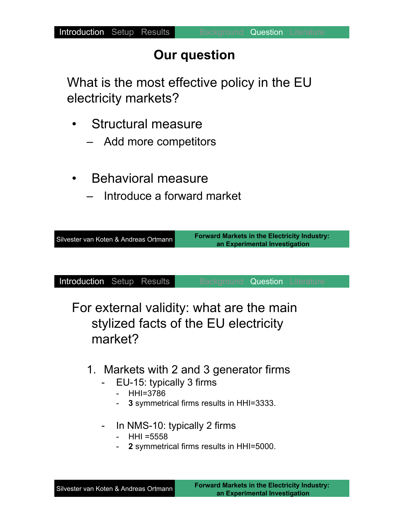# **Our question**

What is the most effective policy in the EU electricity markets?

- Structural measure
	- Add more competitors
- Behavioral measure
	- Introduce a forward market

| Silvester van Koten & Andreas Ortmann | <b>Forward Markets in the Electricity Industry:</b><br>an Experimental Investigation |
|---------------------------------------|--------------------------------------------------------------------------------------|
|                                       |                                                                                      |

Introduction Setup Results Background **Question** Literature

For external validity: what are the main stylized facts of the EU electricity market?

- 1. Markets with 2 and 3 generator firms
	- EU-15: typically 3 firms
		- HHI=3786
		- **3** symmetrical firms results in HHI=3333.
	- In NMS-10: typically 2 firms
		- $HHI = 5558$
		- 2 symmetrical firms results in HHI=5000.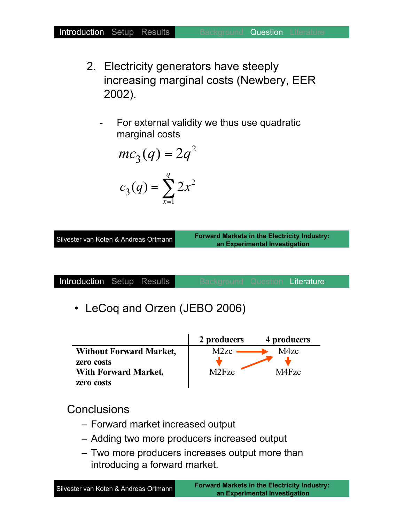- 2. Electricity generators have steeply increasing marginal costs (Newbery, EER 2002).
	- For external validity we thus use quadratic marginal costs

$$
mc_3(q) = 2q^2
$$

$$
c_3(q) = \sum_{x=1}^{q} 2x^2
$$

Silvester van Koten & Andreas Ortmann

**Forward Markets in the Electricity Industry: an Experimental Investigation**

| <b>Introduction</b> Setup Results |  |  |  |  | Literature |
|-----------------------------------|--|--|--|--|------------|
|-----------------------------------|--|--|--|--|------------|

• LeCoq and Orzen (JEBO 2006)

|                                | 2 producers                    | 4 producers |
|--------------------------------|--------------------------------|-------------|
| <b>Without Forward Market,</b> | M2zc                           | M4zc        |
| zero costs                     |                                |             |
| <b>With Forward Market,</b>    | M <sub>2</sub> F <sub>zc</sub> | M4Fzc       |
| zero costs                     |                                |             |

**Conclusions** 

- Forward market increased output
- Adding two more producers increased output
- Two more producers increases output more than introducing a forward market.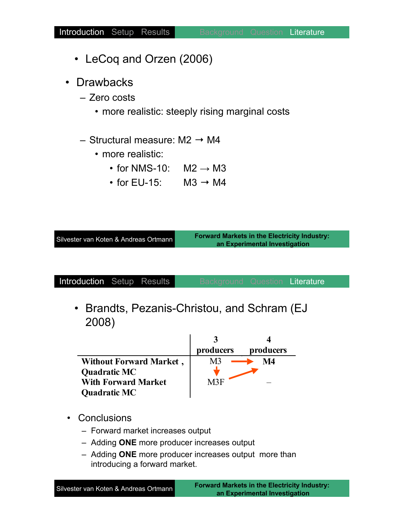- LeCoq and Orzen (2006)
- Drawbacks
	- Zero costs
		- more realistic: steeply rising marginal costs
	- Structural measure:  $M2 \rightarrow M4$ 
		- more realistic:
			- for NMS-10:  $M2 \rightarrow M3$
			- for EU-15:  $M3 \rightarrow M4$

| Silvester van Koten & Andreas Ortmann |  |  |
|---------------------------------------|--|--|
|                                       |  |  |

**Forward Markets in the Electricity Industry: an Experimental Investigation**

| Introduction Setup Results |  |  |  |  | Literature |
|----------------------------|--|--|--|--|------------|
|----------------------------|--|--|--|--|------------|

• Brandts, Pezanis-Christou, and Schram (EJ 2008)

|                                | producers | producers |
|--------------------------------|-----------|-----------|
| <b>Without Forward Market,</b> |           | M4        |
| <b>Quadratic MC</b>            |           |           |
| <b>With Forward Market</b>     | M3F       |           |
| <b>Quadratic MC</b>            |           |           |

- Conclusions
	- Forward market increases output
	- Adding **ONE** more producer increases output
	- Adding **ONE** more producer increases output more than introducing a forward market.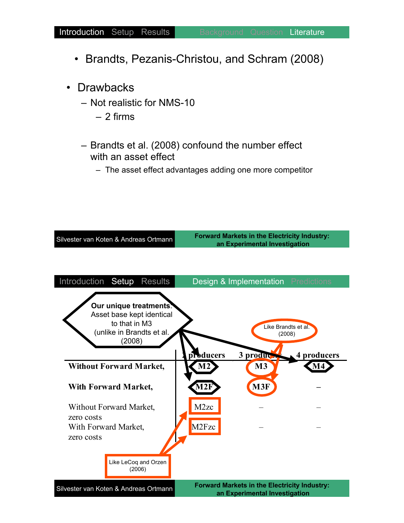- Brandts, Pezanis-Christou, and Schram (2008)
- Drawbacks
	- Not realistic for NMS-10
		- 2 firms
	- Brandts et al. (2008) confound the number effect with an asset effect
		- The asset effect advantages adding one more competitor

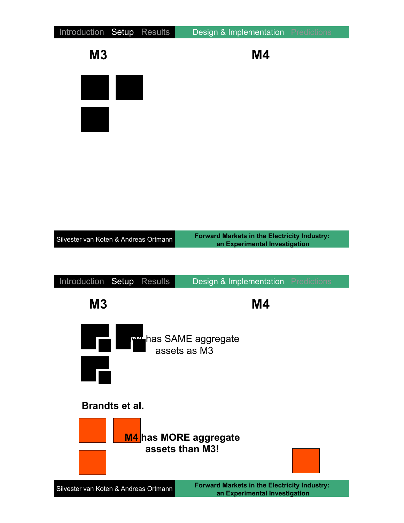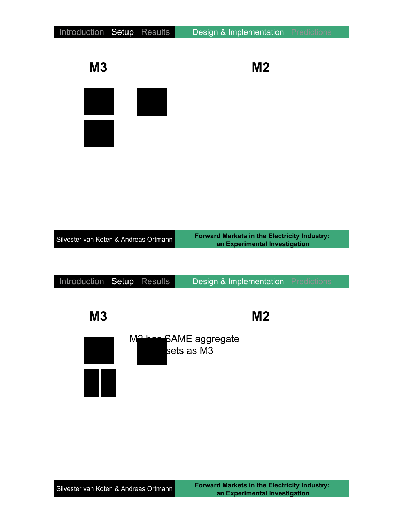| Introduction Setup                    | <b>Results</b> | Design & Implementation                                                              | Predictions        |
|---------------------------------------|----------------|--------------------------------------------------------------------------------------|--------------------|
| <b>M3</b>                             |                | M <sub>2</sub>                                                                       |                    |
|                                       |                |                                                                                      |                    |
|                                       |                |                                                                                      |                    |
| Silvester van Koten & Andreas Ortmann |                | <b>Forward Markets in the Electricity Industry:</b><br>an Experimental Investigation |                    |
| Introduction Setup                    | Results        | Design & Implementation                                                              | <b>Predictions</b> |
| M <sub>3</sub>                        |                | M2                                                                                   |                    |
|                                       | M              | <b>Acce</b> SAME aggregate<br>sets as M3                                             |                    |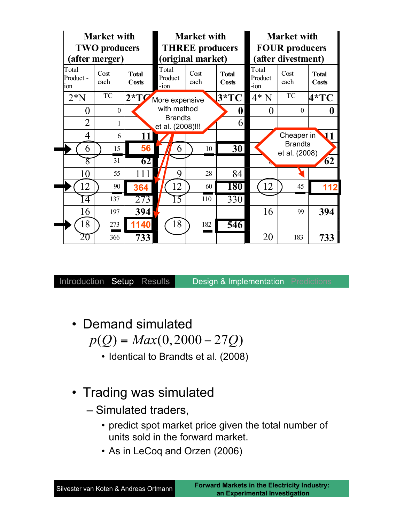| <b>Market with</b>                                                 |          |        | <b>Market with</b>                          |              | <b>Market with</b>    |                                             |                                 |                       |
|--------------------------------------------------------------------|----------|--------|---------------------------------------------|--------------|-----------------------|---------------------------------------------|---------------------------------|-----------------------|
| <b>TWO</b> producers<br>(after merger)                             |          |        | <b>THREE</b> producers<br>(original market) |              |                       | <b>FOUR producers</b><br>(after divestment) |                                 |                       |
| Total<br>Cost<br><b>Total</b><br>Product -<br>each<br>Costs<br>ion |          |        | Total<br>Product<br>$-i$ on                 | Cost<br>each | <b>Total</b><br>Costs | Total<br>Product<br>$-i$ on                 | Cost<br>each                    | <b>Total</b><br>Costs |
| $2*N$                                                              | TC       | $2*TQ$ | More expensive                              |              | $3*TC$                | $4*N$                                       | TC                              | $4*TC$                |
| $\theta$                                                           | $\theta$ |        | with method                                 |              | 0                     | $\theta$                                    | $\theta$                        | 0                     |
| $\overline{2}$                                                     | 1        |        | <b>Brandts</b><br>et al. (2008)!!!          |              | 6                     |                                             |                                 |                       |
| $\overline{4}$                                                     | 6        | 11     |                                             |              |                       |                                             | Cheaper in                      | 11                    |
| 6                                                                  | 15       | 56     | 6                                           | 10           | 30                    |                                             | <b>Brandts</b><br>et al. (2008) |                       |
| $8\,$                                                              | 31       | 62     |                                             |              |                       |                                             |                                 | 62                    |
| 10                                                                 | 55       | 111    | 9                                           | 28           | 84                    |                                             |                                 |                       |
| 12                                                                 | 90       | 364    | 12                                          | 60           | <b>180</b>            | 12                                          | 45                              | 112                   |
| 14                                                                 | 137      | 273    | Γ5                                          | 110          | $\overline{330}$      |                                             |                                 |                       |
| 16                                                                 | 197      | 394    |                                             |              |                       | 16                                          | 99                              | 394                   |
| 18                                                                 | 273      | 1140   | 18                                          | 182          | 546                   |                                             |                                 |                       |
| ŽŪ                                                                 | 366      | 733    |                                             |              |                       | 20                                          | 183                             | 733                   |

- Demand simulated  $p(Q) = Max(0,2000 - 27Q)$ 
	- Identical to Brandts et al. (2008)
- Trading was simulated
	- Simulated traders,
		- predict spot market price given the total number of units sold in the forward market.
		- As in LeCoq and Orzen (2006)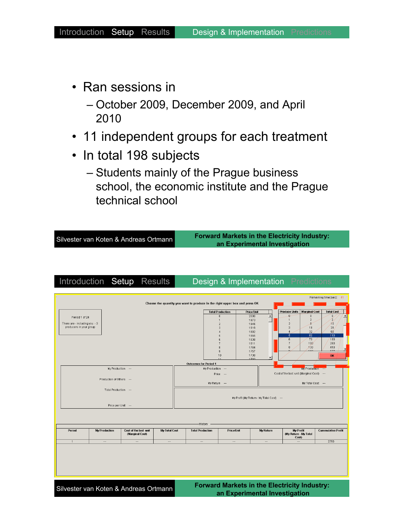- Ran sessions in
	- October 2009, December 2009, and April 2010
- 11 independent groups for each treatment
- In total 198 subjects
	- Students mainly of the Prague business school, the economic institute and the Prague technical school

Silvester van Koten & Andreas Ortmann

**Forward Markets in the Electricity Industry: an Experimental Investigation**

| Period 1 of 24<br>There are - including you - 3<br>producers in your group |                          |                                          |               |                              |                          | Choose the quantity you want to produce in the right upper box and press OK |                                           |                                             |                        |                            |  |
|----------------------------------------------------------------------------|--------------------------|------------------------------------------|---------------|------------------------------|--------------------------|-----------------------------------------------------------------------------|-------------------------------------------|---------------------------------------------|------------------------|----------------------------|--|
|                                                                            |                          |                                          |               |                              | <b>Total Production</b>  | <b>Price/Unit</b>                                                           |                                           | <b>Produce Units</b>                        | <b>Marginal Cost</b>   | <b>Total Cost</b>          |  |
|                                                                            |                          |                                          |               |                              | $\theta$<br>$\mathbf{1}$ | 2000<br>1973                                                                | $\blacktriangle$                          | n<br>1                                      | $\Omega$<br>$\sqrt{2}$ | $\theta$<br>$\overline{2}$ |  |
|                                                                            |                          |                                          |               |                              | $\overline{2}$           | 1946                                                                        |                                           | $\overline{2}$                              | $\bf{8}$               | 10                         |  |
|                                                                            |                          |                                          |               |                              | 3                        | 1919                                                                        |                                           | 3                                           | 18                     | 28                         |  |
|                                                                            |                          |                                          |               |                              | $\boldsymbol{\Lambda}$   | 1892                                                                        |                                           | $\Delta$                                    | 32                     | 60                         |  |
|                                                                            |                          |                                          |               |                              | 5                        | 1865                                                                        |                                           | 5                                           | 50                     | 110                        |  |
|                                                                            |                          |                                          |               |                              | ĥ                        | 1838                                                                        |                                           | 6<br>$\overline{7}$                         | 70                     | 180<br>280                 |  |
|                                                                            |                          |                                          |               |                              | $\overline{f}$<br>8      | 1811<br>1784                                                                |                                           | 8                                           | 100<br>130             | 410                        |  |
|                                                                            |                          |                                          |               |                              | 9                        | 1757                                                                        |                                           |                                             |                        | 470                        |  |
|                                                                            |                          |                                          |               |                              | 10                       | 1730                                                                        |                                           |                                             |                        | OK                         |  |
|                                                                            |                          |                                          |               |                              |                          | 1703                                                                        |                                           |                                             |                        |                            |  |
|                                                                            |                          |                                          |               | <b>Outcomes for Period 1</b> |                          |                                                                             |                                           |                                             |                        |                            |  |
|                                                                            | My Production ---        |                                          |               | My Production ---            |                          |                                                                             |                                           |                                             | <b>My Production</b>   |                            |  |
|                                                                            |                          |                                          |               | Price ---                    |                          |                                                                             | Cost of the last unit (Marginal Cost) --- |                                             |                        |                            |  |
|                                                                            | Production of Others --- |                                          |               |                              |                          |                                                                             |                                           |                                             |                        |                            |  |
|                                                                            |                          |                                          |               | My Return --                 |                          |                                                                             |                                           | My Total Cost --                            |                        |                            |  |
|                                                                            | Total Production ---     |                                          |               |                              |                          |                                                                             |                                           |                                             |                        |                            |  |
|                                                                            | Price per Unit ---       |                                          |               |                              |                          |                                                                             |                                           |                                             |                        |                            |  |
|                                                                            |                          |                                          |               | History                      |                          |                                                                             |                                           |                                             |                        |                            |  |
| Period                                                                     | <b>My Production</b>     | Cost of the last unit<br>(Marginal Cost) | My Total Cost | <b>Total Production</b>      | <b>Price/Unit</b>        |                                                                             | My Return                                 | My Profit<br>(My Return - My Total<br>Cost) |                        | <b>Cummulative Profit</b>  |  |
|                                                                            |                          |                                          |               |                              |                          |                                                                             |                                           | $\overline{\phantom{a}}$                    |                        | 2750                       |  |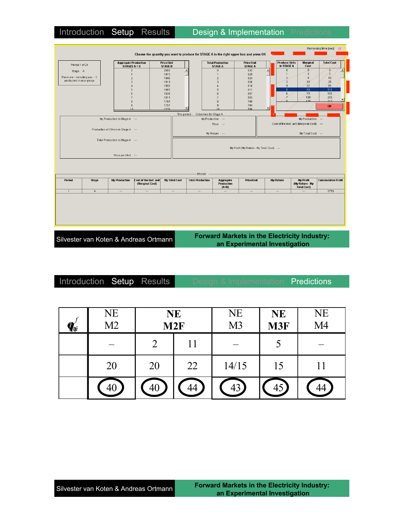| Period 1 of 24                |              | <b>Aggregate Production</b><br>STAGES A + B |                                          | <b>Price/Unit</b><br><b>STAGE B</b> |                                    | <b>Total Production</b><br><b>STAGE A</b> | <b>Price/Unit</b><br><b>STAGE A</b> |                                           | <b>Produce Units</b><br>in STAGE A | Marginal<br>Cost                                   | <b>Total Cost</b>         |
|-------------------------------|--------------|---------------------------------------------|------------------------------------------|-------------------------------------|------------------------------------|-------------------------------------------|-------------------------------------|-------------------------------------------|------------------------------------|----------------------------------------------------|---------------------------|
|                               |              | $\theta$                                    |                                          | 2000                                |                                    | $\theta$                                  | 833                                 |                                           | $\theta$                           | $\theta$                                           | $\bf 0$                   |
| Stage A                       |              | $\mathbf{1}$                                |                                          | 1973                                |                                    | $\overline{1}$                            | 829                                 |                                           | $\overline{1}$                     | $\overline{2}$                                     | $\overline{2}$            |
| There are - including you - 3 |              | $\overline{2}$                              |                                          | 1946                                |                                    | $\overline{2}$                            | 824                                 |                                           | $\overline{2}$                     | 8                                                  | 10                        |
| producers in your group       |              | $\mathcal{R}$                               |                                          | 1919                                |                                    | $\mathcal{R}$                             | 820                                 |                                           | 3                                  | 18                                                 | 28                        |
|                               |              | $\boldsymbol{A}$                            |                                          | 1892                                |                                    |                                           | 816                                 |                                           | $\frac{4}{3}$                      | 32                                                 | $_{60}$                   |
|                               |              | 5                                           |                                          | 1865                                |                                    | 5                                         | 811                                 |                                           | 5                                  | 50                                                 | 110                       |
|                               |              | 6                                           |                                          | 1838                                |                                    | $\mathbf{6}$                              | 807                                 |                                           | 6                                  | 70                                                 | 180                       |
|                               |              |                                             |                                          | 1811                                |                                    |                                           | 803                                 |                                           |                                    | 100                                                | 280                       |
|                               |              | 8                                           |                                          | 1784                                |                                    | 8                                         | 799                                 |                                           |                                    | 120.                                               | 410                       |
|                               |              | 9                                           |                                          | 1757                                |                                    | 9                                         | 794                                 |                                           |                                    |                                                    | OK                        |
|                               |              | 10 <sub>1</sub>                             |                                          | 1730                                |                                    | 10                                        | 790                                 | $\blacktriangledown$                      |                                    |                                                    |                           |
|                               |              |                                             |                                          |                                     | This period - Outcomes for Stage A |                                           |                                     |                                           |                                    |                                                    |                           |
|                               |              | My Production in Stage A ---                |                                          |                                     |                                    | My Production -                           |                                     |                                           |                                    | My Production ---                                  |                           |
|                               |              |                                             |                                          |                                     |                                    | Price ---                                 |                                     | Cost of the last unit (Marginal Cost) --- |                                    |                                                    |                           |
|                               |              |                                             |                                          |                                     |                                    |                                           |                                     |                                           |                                    |                                                    |                           |
|                               |              | Production of Others in Stage A ---         |                                          |                                     | My Return ---<br>My Total Cost --- |                                           |                                     |                                           |                                    |                                                    |                           |
|                               |              |                                             |                                          |                                     |                                    |                                           |                                     |                                           |                                    |                                                    |                           |
|                               |              | Price per Unit ---                          |                                          |                                     | -History                           |                                           |                                     |                                           |                                    |                                                    |                           |
| Period                        | <b>Stage</b> | <b>My Production</b>                        | Cost of the last unit<br>(Marginal Cost) | My Total Cost                       | <b>Total Production</b>            | Aqqreqate<br><b>Production</b>            | <b>Price/Unit</b>                   |                                           | My Return                          | My Profit<br>(My Return - My<br><b>Total Cost)</b> | <b>Cummulative Profit</b> |
|                               | A            | $\cdots$                                    | $\ldots$                                 | $\overline{\phantom{a}}$            | $\ldots$                           | $(A+B)$<br>$\overline{\phantom{a}}$       | $\hspace{0.05cm} \cdots$            |                                           | $\cdots$                           | $\overline{\phantom{a}}$                           | 2750                      |
| $\sqrt{1}$                    |              |                                             |                                          |                                     |                                    |                                           |                                     |                                           |                                    |                                                    |                           |

Silvester van Koten & Andreas Ortmann

**an Experimental Investigation**

Introduction Setup Results Design & Implementation Predictions

| $\mathbf{q}_{\text{\tiny{t}}i}$ | <b>NE</b><br>M2 | <b>NE</b><br>M2F |    | <b>NE</b><br>M <sub>3</sub> | <b>NE</b><br>M3F | <b>NE</b><br>M <sub>4</sub> |
|---------------------------------|-----------------|------------------|----|-----------------------------|------------------|-----------------------------|
|                                 |                 | ⌒                | 11 |                             |                  |                             |
|                                 | 20              | 20               | 22 | 14/15                       | 15               |                             |
|                                 |                 |                  |    | 43                          |                  |                             |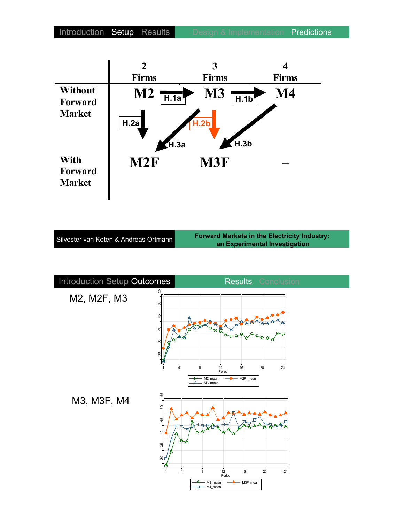

| Silvester van Koten & Andreas Ortmann |  |  |
|---------------------------------------|--|--|
|                                       |  |  |

**Forward Markets in the Electricity Industry: an Experimental Investigation**

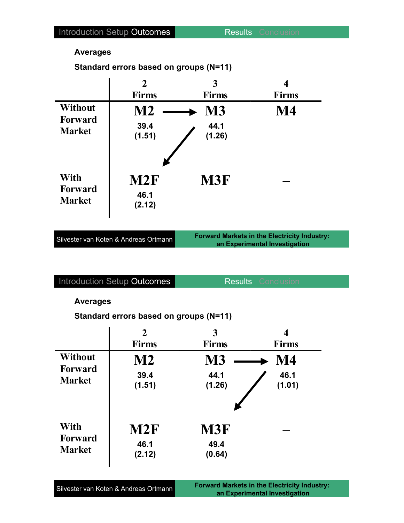#### **Averages**

**Standard errors based on groups (N=11)**

|                                                   | $\overline{2}$<br><b>Firms</b> | 3<br><b>Firms</b>           | <b>Firms</b> |
|---------------------------------------------------|--------------------------------|-----------------------------|--------------|
| <b>Without</b><br><b>Forward</b><br><b>Market</b> | $\bf M2$<br>39.4<br>(1.51)     | <b>M3</b><br>44.1<br>(1.26) | $\bf M4$     |
| With<br>Forward<br><b>Market</b>                  | M2F<br>46.1<br>(2.12)          | M3F                         |              |

| Silvester van Koten & Andreas Ortmann |  |  |
|---------------------------------------|--|--|
|                                       |  |  |

**Forward Markets in the Electricity Industry: an Experimental Investigation**

Introduction Setup Outcomes Results Conclusion

#### **Averages**

**Standard errors based on groups (N=11)**

|                | $\overline{2}$ | 3            | 4            |
|----------------|----------------|--------------|--------------|
|                | <b>Firms</b>   | <b>Firms</b> | <b>Firms</b> |
| Without        | <b>M2</b>      | <b>M3</b>    | M4           |
| <b>Forward</b> | 39.4           | 44.1         | 46.1         |
| <b>Market</b>  | (1.51)         | (1.26)       | (1.01)       |
| With           | M2F            | <b>M3F</b>   |              |
| Forward        | 46.1           | 49.4         |              |
| <b>Market</b>  | (2.12)         | (0.64)       |              |

| Silvester van Koten & Andreas Ortmann |  |
|---------------------------------------|--|
|---------------------------------------|--|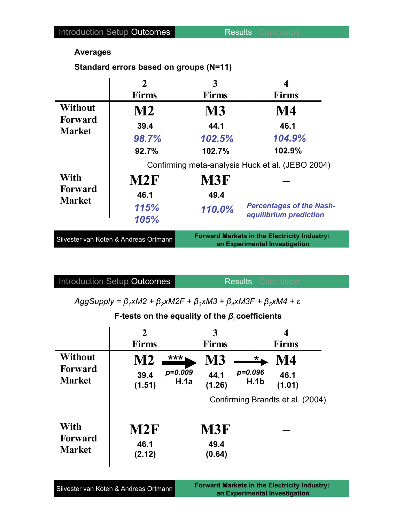### **Averages**

**Standard errors based on groups (N=11)**

|                                                   | $\mathbf{2}$                          | 3            | 4                                                                                    |
|---------------------------------------------------|---------------------------------------|--------------|--------------------------------------------------------------------------------------|
|                                                   | <b>Firms</b>                          | <b>Firms</b> | <b>Firms</b>                                                                         |
| <b>Without</b><br><b>Forward</b><br><b>Market</b> | $\mathbf{M2}$                         | <b>M3</b>    | M4                                                                                   |
|                                                   | 39.4                                  | 44.1         | 46.1                                                                                 |
|                                                   | 98.7%                                 | 102.5%       | 104.9%                                                                               |
|                                                   | 92.7%                                 | 102.7%       | 102.9%                                                                               |
|                                                   |                                       |              | Confirming meta-analysis Huck et al. (JEBO 2004)                                     |
| <b>With</b>                                       | M2F                                   | M3F          |                                                                                      |
| <b>Forward</b><br><b>Market</b>                   | 46.1                                  | 49.4         |                                                                                      |
|                                                   | 115%<br>105%                          | 110.0%       | <b>Percentages of the Nash-</b><br>equilibrium prediction                            |
|                                                   | Silvester van Koten & Andreas Ortmann |              | <b>Forward Markets in the Electricity Industry:</b><br>an Experimental Investigation |

Introduction Setup Outcomes **Results** Conclusion

 $AggSupply = \beta_1 xM2 + \beta_2 xM2F + \beta_3 xM3 + \beta_4 xM3F + \beta_5 xM4 + \varepsilon$ 

## **F-tests** on the equality of the  $\beta_i$  coefficients

|                                         | $\mathbf 2$<br><b>Firms</b> |                   | 3<br><b>Firms</b>            |                                  | 4<br><b>Firms</b> |  |
|-----------------------------------------|-----------------------------|-------------------|------------------------------|----------------------------------|-------------------|--|
| <b>Without</b>                          | M2                          | ***               | M3                           | $\star$ .                        | M4                |  |
| <b>Forward</b><br><b>Market</b>         | 39.4<br>(1.51)              | $p=0.009$<br>H.1a | 44.1<br>(1.26)               | $p = 0.096$<br>H.1b              | 46.1<br>(1.01)    |  |
|                                         |                             |                   |                              | Confirming Brandts et al. (2004) |                   |  |
| With<br><b>Forward</b><br><b>Market</b> | M2F<br>46.1<br>(2.12)       |                   | <b>M3F</b><br>49.4<br>(0.64) |                                  |                   |  |

| Silvester van Koten & Andreas Ortmann | <b>Forward Markets in the Electricity Industry:</b> |  |  |
|---------------------------------------|-----------------------------------------------------|--|--|
|                                       | an Experimental Investigation                       |  |  |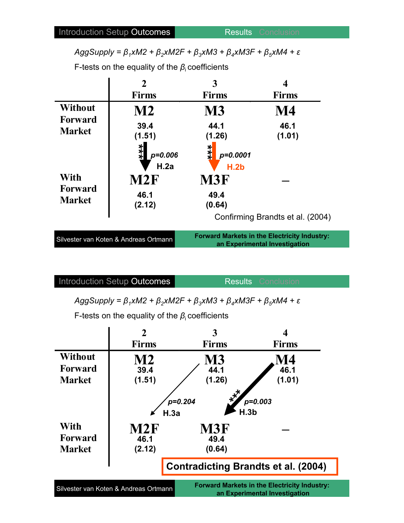$AggSupply = \beta_1 xM2 + \beta_2 xM2F + \beta_3 xM3 + \beta_4 xM3F + \beta_5 xM4 + \varepsilon$ 

F-tests on the equality of the  $\beta_i$  coefficients

|                                 | $\overline{2}$                        | 3                           |                                                                                      |
|---------------------------------|---------------------------------------|-----------------------------|--------------------------------------------------------------------------------------|
|                                 | <b>Firms</b>                          | <b>Firms</b>                | <b>Firms</b>                                                                         |
| <b>Without</b>                  | M2                                    | <b>M3</b>                   | M4                                                                                   |
| <b>Forward</b><br><b>Market</b> | 39.4<br>(1.51)                        | 44.1<br>(1.26)              | 46.1<br>(1.01)                                                                       |
|                                 | ***<br>$p = 0.006$<br>H.2a            | ***<br>$p = 0.0001$<br>H.2b |                                                                                      |
| <b>With</b>                     | M2F                                   | M3F                         |                                                                                      |
| <b>Forward</b><br><b>Market</b> | 46.1<br>(2.12)                        | 49.4<br>(0.64)              |                                                                                      |
|                                 |                                       |                             | Confirming Brandts et al. (2004)                                                     |
|                                 | Silvester van Koten & Andreas Ortmann |                             | <b>Forward Markets in the Electricity Industry:</b><br>an Experimental Investigation |

Introduction Setup Outcomes Results Conclusion

 $AggSupply = \beta_1 xM2 + \beta_2 xM2F + \beta_3 xM3 + \beta_4 xM3F + \beta_5 xM4 + \varepsilon$ 

F-tests on the equality of the  $\beta_i$  coefficients

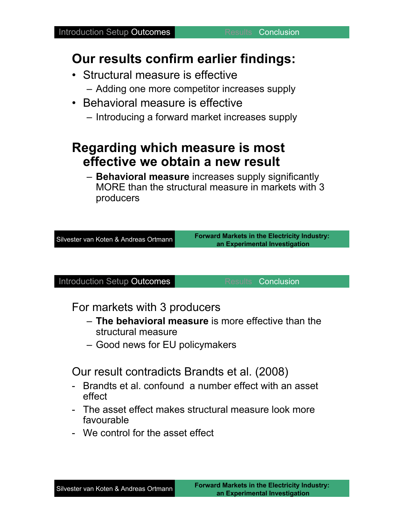## **Our results confirm earlier findings:**

- Structural measure is effective
	- Adding one more competitor increases supply
- Behavioral measure is effective
	- Introducing a forward market increases supply

## **Regarding which measure is most effective we obtain a new result**

– **Behavioral measure** increases supply significantly MORE than the structural measure in markets with 3 producers

Silvester van Koten & Andreas Ortmann

**Forward Markets in the Electricity Industry: an Experimental Investigation**

Introduction Setup Outcomes **Results** Conclusion

For markets with 3 producers

- **The behavioral measure** is more effective than the structural measure
- Good news for EU policymakers

Our result contradicts Brandts et al. (2008)

- Brandts et al. confound a number effect with an asset effect
- The asset effect makes structural measure look more favourable
- We control for the asset effect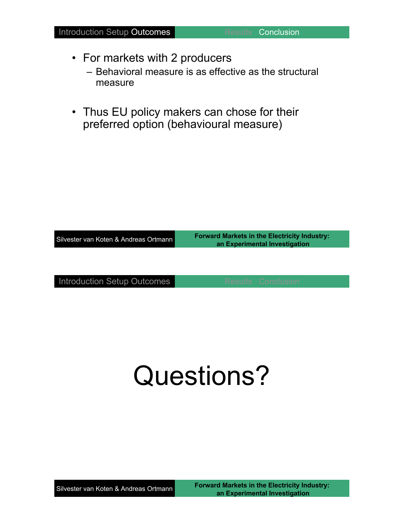- For markets with 2 producers
	- Behavioral measure is as effective as the structural measure
- Thus EU policy makers can chose for their preferred option (behavioural measure)

| Silvester van Koten & Andreas Ortmann | <b>Forward Markets in the Electricity Industry:</b><br>an Experimental Investigation |  |  |
|---------------------------------------|--------------------------------------------------------------------------------------|--|--|
|                                       |                                                                                      |  |  |
| Introduction Setup Outcomes           | <b>Results Conclusion</b>                                                            |  |  |

# Questions?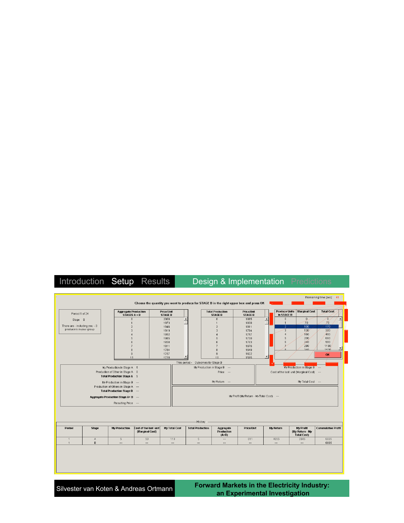|                                  |               |                                             |                                          |                                     |                                    | Choose the quantity you want to produce for STAGE B in the right upper box and press OK |                                           |                  |                                           |                                                    | Remaining time [sec]: 41  |  |
|----------------------------------|---------------|---------------------------------------------|------------------------------------------|-------------------------------------|------------------------------------|-----------------------------------------------------------------------------------------|-------------------------------------------|------------------|-------------------------------------------|----------------------------------------------------|---------------------------|--|
| Period 1 of 24                   |               | <b>Aggregate Production</b><br>STAGES A + B |                                          | <b>Price/Unit</b><br><b>STAGE B</b> |                                    | <b>Total Production</b><br><b>STAGE B</b>                                               | <b>Price/Unit</b><br><b>STAGE B</b>       |                  | <b>Produce Units</b><br>in STAGE B        | <b>Marginal Cost</b>                               | <b>Total Cost</b>         |  |
| Stage B                          |               | $\theta$                                    |                                          | 2000                                |                                    | $\mathbb O$                                                                             | 1865                                      | $\blacktriangle$ | $\mathbbmss{0}$                           | $\,0\,$                                            | $\,0\,$                   |  |
|                                  |               | $\mathbf{1}$                                |                                          | 1973                                |                                    | $\overline{1}$                                                                          | 1838                                      |                  | $\overline{1}$                            | 70                                                 | 70                        |  |
| There are - including you - 3    |               | $\overline{2}$                              |                                          | 1946                                |                                    | $\overline{2}$                                                                          | 1811                                      |                  | $\overline{2}$                            | 100                                                | 170                       |  |
| producers in your group          |               | $\overline{3}$                              |                                          | 1919                                |                                    | $\overline{3}$                                                                          | 1784                                      |                  | $\sqrt{3}$                                | 130                                                | 300                       |  |
|                                  |               | $\Delta$                                    |                                          | 1892                                |                                    | $\ddot{a}$                                                                              | 1757                                      |                  | 4                                         | 160                                                | 460                       |  |
|                                  |               | 5                                           |                                          | 1865                                |                                    | 5                                                                                       | 1730                                      |                  | $\sqrt{2}$                                | 200                                                | 660                       |  |
|                                  |               | $\hat{h}$                                   |                                          | 1838                                |                                    | 6                                                                                       | 1703                                      |                  | 6                                         | 240                                                | 900                       |  |
|                                  |               | $\overline{z}$                              |                                          | 1811                                |                                    | $\overline{7}$                                                                          | 1676                                      |                  | $\overline{7}$                            | 290                                                | 1190                      |  |
|                                  |               | 8                                           |                                          | 1784                                |                                    | 8                                                                                       | 1649                                      |                  | $\overline{a}$                            | 340                                                | 1530                      |  |
|                                  |               | $\overline{9}$                              |                                          | 1757                                |                                    | 9                                                                                       | 1622                                      |                  |                                           |                                                    | OK                        |  |
|                                  |               | 10                                          |                                          | 1730                                |                                    | 10                                                                                      | 1595                                      | ▾                |                                           |                                                    |                           |  |
|                                  |               |                                             |                                          |                                     | This period - Outcomes for Stage B |                                                                                         |                                           |                  |                                           |                                                    |                           |  |
|                                  |               | My Production in Stage A 5                  |                                          |                                     |                                    | My Production in Stage B ---                                                            |                                           |                  |                                           | My Production in Stage B ---                       |                           |  |
|                                  |               |                                             |                                          |                                     |                                    | Price ---                                                                               |                                           |                  | Cost of the last unit (Marginal Cost) --- |                                                    |                           |  |
| Production of Other in Stage A 0 |               |                                             |                                          |                                     |                                    |                                                                                         |                                           |                  |                                           |                                                    |                           |  |
|                                  |               | <b>Total Production Stage A 5</b>           |                                          |                                     |                                    |                                                                                         |                                           |                  |                                           |                                                    |                           |  |
|                                  |               | My Production in Stage B ---                |                                          |                                     |                                    | My Return ---                                                                           |                                           |                  |                                           | My Total Cost ---                                  |                           |  |
|                                  |               | Production of Others in Stage A ---         |                                          |                                     |                                    |                                                                                         |                                           |                  |                                           |                                                    |                           |  |
|                                  |               | Total Production Stage B ---                |                                          |                                     |                                    |                                                                                         |                                           |                  |                                           |                                                    |                           |  |
|                                  |               |                                             |                                          |                                     |                                    |                                                                                         |                                           |                  |                                           |                                                    |                           |  |
|                                  |               | Aggregate Production Stage A+ B ---         |                                          |                                     |                                    |                                                                                         | My Profit (My Return - My Total Cost) --- |                  |                                           |                                                    |                           |  |
|                                  |               | Resulting Price --                          |                                          |                                     |                                    |                                                                                         |                                           |                  |                                           |                                                    |                           |  |
|                                  |               |                                             |                                          |                                     |                                    |                                                                                         |                                           |                  |                                           |                                                    |                           |  |
|                                  |               |                                             |                                          |                                     | - History                          |                                                                                         |                                           |                  |                                           |                                                    |                           |  |
| Period                           | <b>Stage</b>  | <b>My Production</b>                        | Cost of the last unit<br>(Marginal Cost) | My Total Cost                       | <b>Total Production</b>            | Aggregate<br><b>Production</b><br>$(A-B)$                                               | Price/Unit                                |                  | My Return                                 | My Profit<br>(My Return - My<br><b>Total Cost)</b> | <b>Cummulative Profit</b> |  |
| $\mathbf{1}$<br>1                | Α<br>$\theta$ | $\sqrt{5}$                                  | 50                                       | 110                                 | $\overline{5}$                     | $\cdots$                                                                                | 811                                       |                  | 4055                                      | 3945                                               | 6695<br>6695              |  |

Silvester van Koten & Andreas Ortmann

**Forward Markets in the Electricity Industry: an Experimental Investigation**